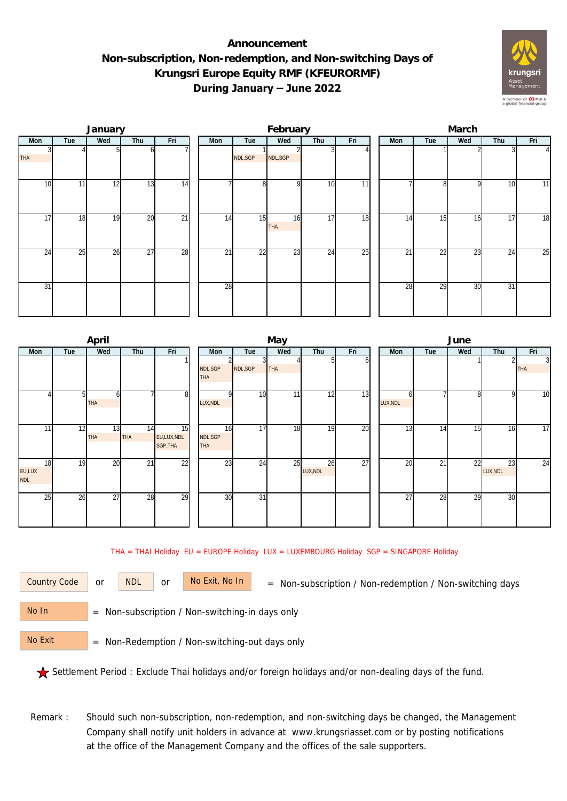## **Announcement Non-subscription, Non-redemption, and Non-switching Days of Krungsri Europe Equity RMF (KFEURORMF) During January – June 2022**



|                 |     | January |                 |                 |     |                | February         |     |     | March |                 |     |     |                |  |  |
|-----------------|-----|---------|-----------------|-----------------|-----|----------------|------------------|-----|-----|-------|-----------------|-----|-----|----------------|--|--|
| Mon             | Tue | Wed     | Thu             | Fri             | Mon | Tue            | Wed              | Thu | Fri | Mon   | Tue             | Wed | Thu | Fri            |  |  |
| <b>THA</b>      |     |         | ω               |                 |     | NDL,SGP        | NDL, SGP         |     |     |       |                 |     |     | $\overline{4}$ |  |  |
| 10              | 11  | 12      | 13              | $\overline{14}$ |     | 8 <sup>1</sup> | $\Omega$         | 10  | 11  |       | $\mathsf{R}$    | Q   | 10  | 11             |  |  |
| $1\overline{7}$ | 18  | 19      | 20              | $\overline{21}$ | 14  | 15             | 16<br><b>THA</b> | 17  | 18  | 14    | 15              | 16  | 17  | 18             |  |  |
| 24              | 25  | 26      | $\overline{27}$ | 28              | 21  | 22             | 23               | 24  | 25  | 21    | $\overline{22}$ | 23  | 24  | 25             |  |  |
| 31              |     |         |                 |                 | 28  |                |                  |     |     | 28    | 29              | 30  | 31  |                |  |  |

|                            |     | April            |                  |                                           |                              |                 | May             |                |     | June            |     |     |                |                              |  |
|----------------------------|-----|------------------|------------------|-------------------------------------------|------------------------------|-----------------|-----------------|----------------|-----|-----------------|-----|-----|----------------|------------------------------|--|
| Mon                        | Tue | Wed              | Thu              | Fri                                       | Mon                          | Tue             | Wed             | Thu            | Fri | Mon             | Tue | Wed | Thu            | Fri                          |  |
|                            |     |                  |                  |                                           | NDL, SGP<br><b>THA</b>       | NDL, SGP        | <b>THA</b>      |                | оı  |                 |     |     |                | $\overline{3}$<br><b>THA</b> |  |
|                            |     | ω<br><b>THA</b>  |                  | 8                                         | ΩI<br>LUX, NDL               | 10              | 11 <sub>1</sub> | 12             | 13  | LUX, NDL        |     | 8   | 9              | 10                           |  |
| 11                         | 12  | 13<br><b>THA</b> | 14<br><b>THA</b> | $\overline{15}$<br>EU,LUX,NDL<br>SGP, THA | 16<br>NDL, SGP<br><b>THA</b> | 17              | 18              | 19             | 20  | 13              | 14  | 15  | 16             | 17                           |  |
| 18<br>EU,LUX<br><b>NDL</b> | 19  | 20               | $\overline{21}$  | $\overline{22}$                           | $2\overline{3}$              | 24              | 25              | 26<br>LUX, NDL | 27  | 20              | 21  | 22  | 23<br>LUX, NDL | 24                           |  |
| 25                         | 26  | $2\overline{7}$  | 28               | 29                                        | 30                           | $\overline{31}$ |                 |                |     | $\overline{27}$ | 28  | 29  | 30             |                              |  |

THA = THAI Holiday EU = EUROPE Holiday LUX = LUXEMBOURG Holiday SGP = SINGAPORE Holiday

or NDL or

Country Code or NDL or No Exit, No In = Non-subscription / Non-redemption / Non-switching days

 = Non-subscription / Non-switching-in days only No In

 = Non-Redemption / Non-switching-out days only No Exit

Settlement Period : Exclude Thai holidays and/or foreign holidays and/or non-dealing days of the fund.

Remark : Should such non-subscription, non-redemption, and non-switching days be changed, the Management Company shall notify unit holders in advance at www.krungsriasset.com or by posting notifications at the office of the Management Company and the offices of the sale supporters.